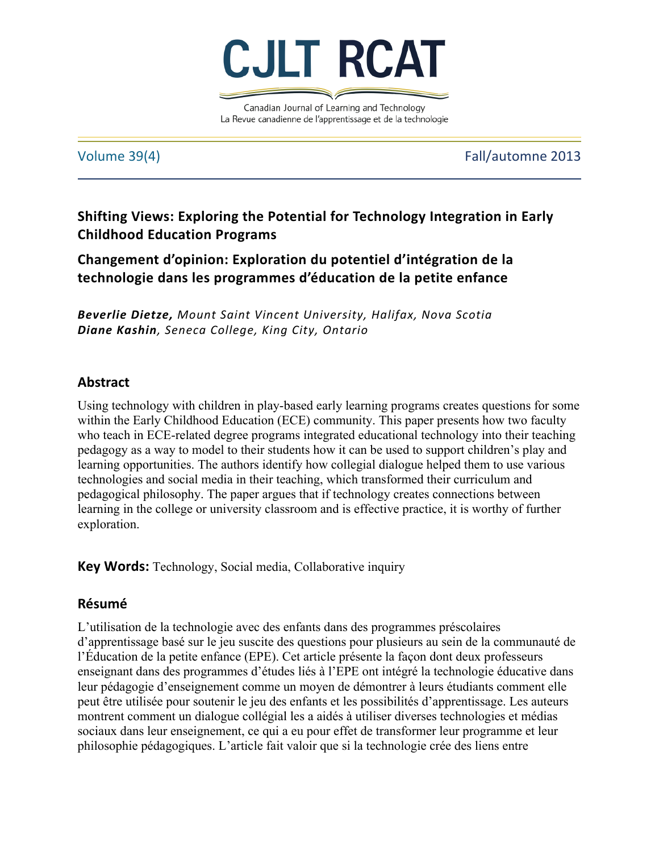

Canadian Journal of Learning and Technology La Revue canadienne de l'apprentissage et de la technologie

Volume 39(4) **Fall/automne** 2013

**Shifting Views: Exploring the Potential for Technology Integration in Early Childhood Education Programs**

**Changement d'opinion: Exploration du potentiel d'intégration de la technologie dans les programmes d'éducation de la petite enfance** 

*Beverlie Dietze, Mount Saint Vincent University, Halifax, Nova Scotia Diane Kashin, Seneca College, King City, Ontario*

## **Abstract**

Using technology with children in play-based early learning programs creates questions for some within the Early Childhood Education (ECE) community. This paper presents how two faculty who teach in ECE-related degree programs integrated educational technology into their teaching pedagogy as a way to model to their students how it can be used to support children's play and learning opportunities. The authors identify how collegial dialogue helped them to use various technologies and social media in their teaching, which transformed their curriculum and pedagogical philosophy. The paper argues that if technology creates connections between learning in the college or university classroom and is effective practice, it is worthy of further exploration.

**Key Words:** Technology, Social media, Collaborative inquiry

# **Résumé**

L'utilisation de la technologie avec des enfants dans des programmes préscolaires d'apprentissage basé sur le jeu suscite des questions pour plusieurs au sein de la communauté de l'Éducation de la petite enfance (EPE). Cet article présente la façon dont deux professeurs enseignant dans des programmes d'études liés à l'EPE ont intégré la technologie éducative dans leur pédagogie d'enseignement comme un moyen de démontrer à leurs étudiants comment elle peut être utilisée pour soutenir le jeu des enfants et les possibilités d'apprentissage. Les auteurs montrent comment un dialogue collégial les a aidés à utiliser diverses technologies et médias sociaux dans leur enseignement, ce qui a eu pour effet de transformer leur programme et leur philosophie pédagogiques. L'article fait valoir que si la technologie crée des liens entre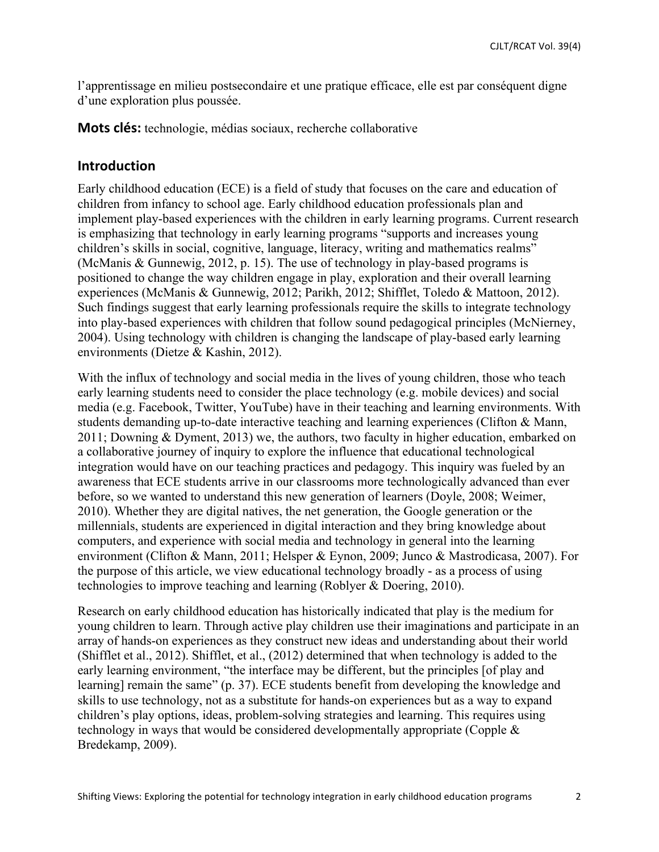l'apprentissage en milieu postsecondaire et une pratique efficace, elle est par conséquent digne d'une exploration plus poussée.

**Mots clés:** technologie, médias sociaux, recherche collaborative

#### **Introduction**

Early childhood education (ECE) is a field of study that focuses on the care and education of children from infancy to school age. Early childhood education professionals plan and implement play-based experiences with the children in early learning programs. Current research is emphasizing that technology in early learning programs "supports and increases young children's skills in social, cognitive, language, literacy, writing and mathematics realms" (McManis & Gunnewig, 2012, p. 15). The use of technology in play-based programs is positioned to change the way children engage in play, exploration and their overall learning experiences (McManis & Gunnewig, 2012; Parikh, 2012; Shifflet, Toledo & Mattoon, 2012). Such findings suggest that early learning professionals require the skills to integrate technology into play-based experiences with children that follow sound pedagogical principles (McNierney, 2004). Using technology with children is changing the landscape of play-based early learning environments (Dietze & Kashin, 2012).

With the influx of technology and social media in the lives of young children, those who teach early learning students need to consider the place technology (e.g. mobile devices) and social media (e.g. Facebook, Twitter, YouTube) have in their teaching and learning environments. With students demanding up-to-date interactive teaching and learning experiences (Clifton & Mann, 2011; Downing & Dyment, 2013) we, the authors, two faculty in higher education, embarked on a collaborative journey of inquiry to explore the influence that educational technological integration would have on our teaching practices and pedagogy. This inquiry was fueled by an awareness that ECE students arrive in our classrooms more technologically advanced than ever before, so we wanted to understand this new generation of learners (Doyle, 2008; Weimer, 2010). Whether they are digital natives, the net generation, the Google generation or the millennials, students are experienced in digital interaction and they bring knowledge about computers, and experience with social media and technology in general into the learning environment (Clifton & Mann, 2011; Helsper & Eynon, 2009; Junco & Mastrodicasa, 2007). For the purpose of this article, we view educational technology broadly - as a process of using technologies to improve teaching and learning (Roblyer & Doering, 2010).

Research on early childhood education has historically indicated that play is the medium for young children to learn. Through active play children use their imaginations and participate in an array of hands-on experiences as they construct new ideas and understanding about their world (Shifflet et al., 2012). Shifflet, et al., (2012) determined that when technology is added to the early learning environment, "the interface may be different, but the principles [of play and learning] remain the same" (p. 37). ECE students benefit from developing the knowledge and skills to use technology, not as a substitute for hands-on experiences but as a way to expand children's play options, ideas, problem-solving strategies and learning. This requires using technology in ways that would be considered developmentally appropriate (Copple & Bredekamp, 2009).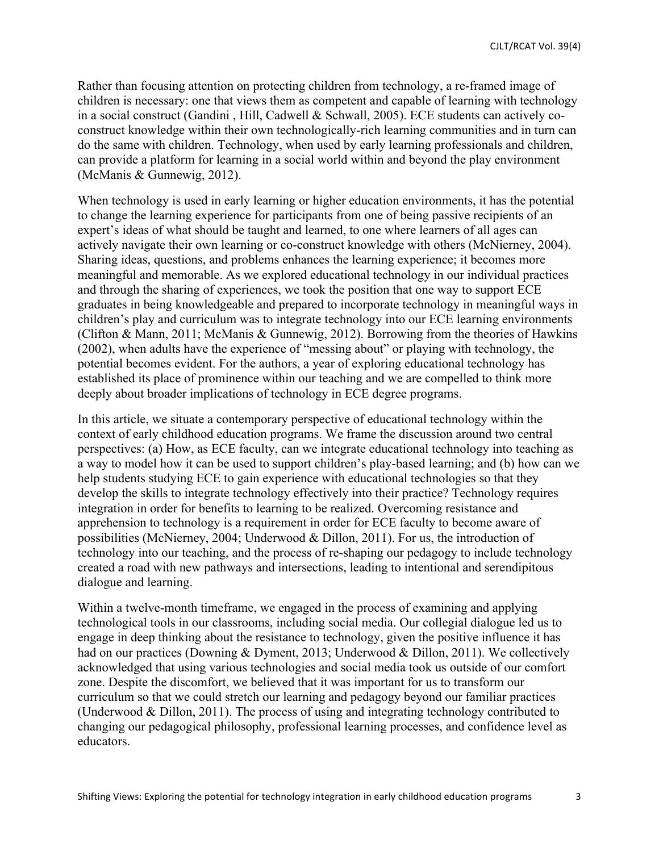Rather than focusing attention on protecting children from technology, a re-framed image of children is necessary: one that views them as competent and capable of learning with technology in a social construct (Gandini , Hill, Cadwell & Schwall, 2005). ECE students can actively coconstruct knowledge within their own technologically-rich learning communities and in turn can do the same with children. Technology, when used by early learning professionals and children, can provide a platform for learning in a social world within and beyond the play environment (McManis & Gunnewig, 2012).

When technology is used in early learning or higher education environments, it has the potential to change the learning experience for participants from one of being passive recipients of an expert's ideas of what should be taught and learned, to one where learners of all ages can actively navigate their own learning or co-construct knowledge with others (McNierney, 2004). Sharing ideas, questions, and problems enhances the learning experience; it becomes more meaningful and memorable. As we explored educational technology in our individual practices and through the sharing of experiences, we took the position that one way to support ECE graduates in being knowledgeable and prepared to incorporate technology in meaningful ways in children's play and curriculum was to integrate technology into our ECE learning environments (Clifton & Mann, 2011; McManis & Gunnewig, 2012). Borrowing from the theories of Hawkins (2002), when adults have the experience of "messing about" or playing with technology, the potential becomes evident. For the authors, a year of exploring educational technology has established its place of prominence within our teaching and we are compelled to think more deeply about broader implications of technology in ECE degree programs.

In this article, we situate a contemporary perspective of educational technology within the context of early childhood education programs. We frame the discussion around two central perspectives: (a) How, as ECE faculty, can we integrate educational technology into teaching as a way to model how it can be used to support children's play-based learning; and (b) how can we help students studying ECE to gain experience with educational technologies so that they develop the skills to integrate technology effectively into their practice? Technology requires integration in order for benefits to learning to be realized. Overcoming resistance and apprehension to technology is a requirement in order for ECE faculty to become aware of possibilities (McNierney, 2004; Underwood & Dillon, 2011). For us, the introduction of technology into our teaching, and the process of re-shaping our pedagogy to include technology created a road with new pathways and intersections, leading to intentional and serendipitous dialogue and learning.

Within a twelve-month timeframe, we engaged in the process of examining and applying technological tools in our classrooms, including social media. Our collegial dialogue led us to engage in deep thinking about the resistance to technology, given the positive influence it has had on our practices (Downing & Dyment, 2013; Underwood & Dillon, 2011). We collectively acknowledged that using various technologies and social media took us outside of our comfort zone. Despite the discomfort, we believed that it was important for us to transform our curriculum so that we could stretch our learning and pedagogy beyond our familiar practices (Underwood & Dillon, 2011). The process of using and integrating technology contributed to changing our pedagogical philosophy, professional learning processes, and confidence level as educators.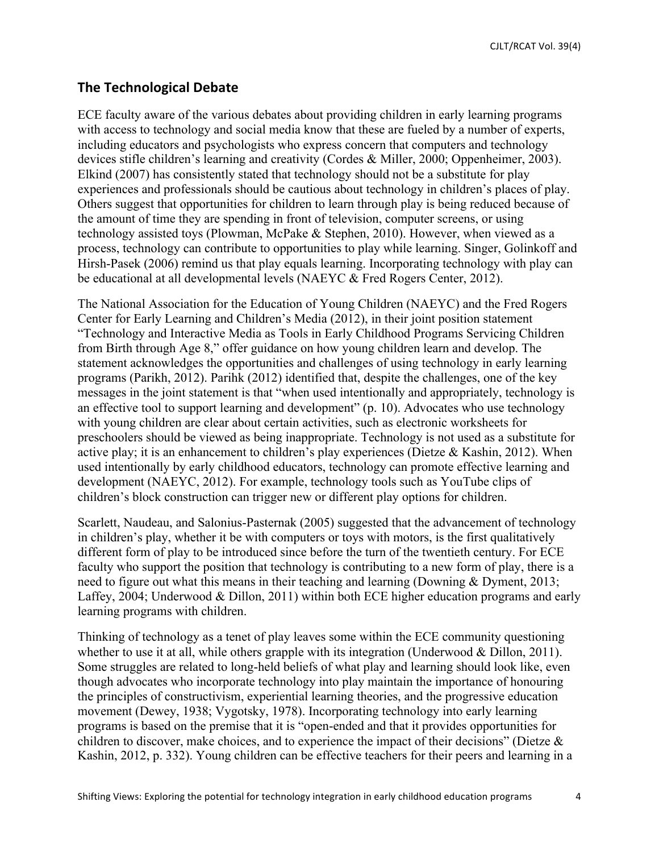CJLT/RCAT Vol. 39(4)

## **The Technological Debate**

ECE faculty aware of the various debates about providing children in early learning programs with access to technology and social media know that these are fueled by a number of experts, including educators and psychologists who express concern that computers and technology devices stifle children's learning and creativity (Cordes & Miller, 2000; Oppenheimer, 2003). Elkind (2007) has consistently stated that technology should not be a substitute for play experiences and professionals should be cautious about technology in children's places of play. Others suggest that opportunities for children to learn through play is being reduced because of the amount of time they are spending in front of television, computer screens, or using technology assisted toys (Plowman, McPake & Stephen, 2010). However, when viewed as a process, technology can contribute to opportunities to play while learning. Singer, Golinkoff and Hirsh-Pasek (2006) remind us that play equals learning. Incorporating technology with play can be educational at all developmental levels (NAEYC & Fred Rogers Center, 2012).

The National Association for the Education of Young Children (NAEYC) and the Fred Rogers Center for Early Learning and Children's Media (2012), in their joint position statement "Technology and Interactive Media as Tools in Early Childhood Programs Servicing Children from Birth through Age 8," offer guidance on how young children learn and develop. The statement acknowledges the opportunities and challenges of using technology in early learning programs (Parikh, 2012). Parihk (2012) identified that, despite the challenges, one of the key messages in the joint statement is that "when used intentionally and appropriately, technology is an effective tool to support learning and development" (p. 10). Advocates who use technology with young children are clear about certain activities, such as electronic worksheets for preschoolers should be viewed as being inappropriate. Technology is not used as a substitute for active play; it is an enhancement to children's play experiences (Dietze  $&$  Kashin, 2012). When used intentionally by early childhood educators, technology can promote effective learning and development (NAEYC, 2012). For example, technology tools such as YouTube clips of children's block construction can trigger new or different play options for children.

Scarlett, Naudeau, and Salonius-Pasternak (2005) suggested that the advancement of technology in children's play, whether it be with computers or toys with motors, is the first qualitatively different form of play to be introduced since before the turn of the twentieth century. For ECE faculty who support the position that technology is contributing to a new form of play, there is a need to figure out what this means in their teaching and learning (Downing & Dyment, 2013; Laffey, 2004; Underwood & Dillon, 2011) within both ECE higher education programs and early learning programs with children.

Thinking of technology as a tenet of play leaves some within the ECE community questioning whether to use it at all, while others grapple with its integration (Underwood & Dillon, 2011). Some struggles are related to long-held beliefs of what play and learning should look like, even though advocates who incorporate technology into play maintain the importance of honouring the principles of constructivism, experiential learning theories, and the progressive education movement (Dewey, 1938; Vygotsky, 1978). Incorporating technology into early learning programs is based on the premise that it is "open-ended and that it provides opportunities for children to discover, make choices, and to experience the impact of their decisions" (Dietze  $\&$ Kashin, 2012, p. 332). Young children can be effective teachers for their peers and learning in a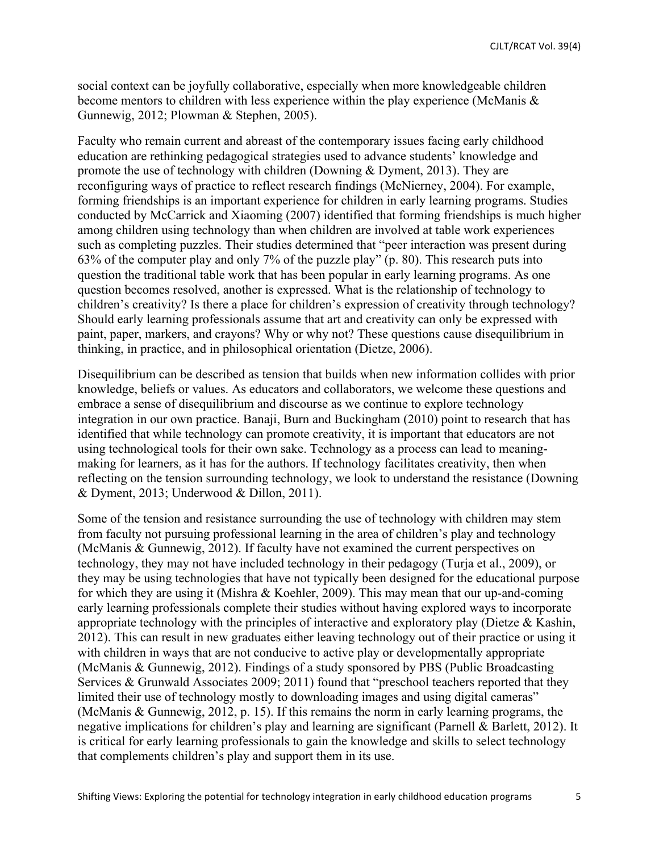social context can be joyfully collaborative, especially when more knowledgeable children become mentors to children with less experience within the play experience (McManis & Gunnewig, 2012; Plowman & Stephen, 2005).

Faculty who remain current and abreast of the contemporary issues facing early childhood education are rethinking pedagogical strategies used to advance students' knowledge and promote the use of technology with children (Downing & Dyment, 2013). They are reconfiguring ways of practice to reflect research findings (McNierney, 2004). For example, forming friendships is an important experience for children in early learning programs. Studies conducted by McCarrick and Xiaoming (2007) identified that forming friendships is much higher among children using technology than when children are involved at table work experiences such as completing puzzles. Their studies determined that "peer interaction was present during 63% of the computer play and only 7% of the puzzle play" (p. 80). This research puts into question the traditional table work that has been popular in early learning programs. As one question becomes resolved, another is expressed. What is the relationship of technology to children's creativity? Is there a place for children's expression of creativity through technology? Should early learning professionals assume that art and creativity can only be expressed with paint, paper, markers, and crayons? Why or why not? These questions cause disequilibrium in thinking, in practice, and in philosophical orientation (Dietze, 2006).

Disequilibrium can be described as tension that builds when new information collides with prior knowledge, beliefs or values. As educators and collaborators, we welcome these questions and embrace a sense of disequilibrium and discourse as we continue to explore technology integration in our own practice. Banaji, Burn and Buckingham (2010) point to research that has identified that while technology can promote creativity, it is important that educators are not using technological tools for their own sake. Technology as a process can lead to meaningmaking for learners, as it has for the authors. If technology facilitates creativity, then when reflecting on the tension surrounding technology, we look to understand the resistance (Downing & Dyment, 2013; Underwood & Dillon, 2011).

Some of the tension and resistance surrounding the use of technology with children may stem from faculty not pursuing professional learning in the area of children's play and technology (McManis & Gunnewig, 2012). If faculty have not examined the current perspectives on technology, they may not have included technology in their pedagogy (Turja et al., 2009), or they may be using technologies that have not typically been designed for the educational purpose for which they are using it (Mishra & Koehler, 2009). This may mean that our up-and-coming early learning professionals complete their studies without having explored ways to incorporate appropriate technology with the principles of interactive and exploratory play (Dietze & Kashin, 2012). This can result in new graduates either leaving technology out of their practice or using it with children in ways that are not conducive to active play or developmentally appropriate (McManis & Gunnewig, 2012). Findings of a study sponsored by PBS (Public Broadcasting Services & Grunwald Associates 2009; 2011) found that "preschool teachers reported that they limited their use of technology mostly to downloading images and using digital cameras" (McManis & Gunnewig, 2012, p. 15). If this remains the norm in early learning programs, the negative implications for children's play and learning are significant (Parnell & Barlett, 2012). It is critical for early learning professionals to gain the knowledge and skills to select technology that complements children's play and support them in its use.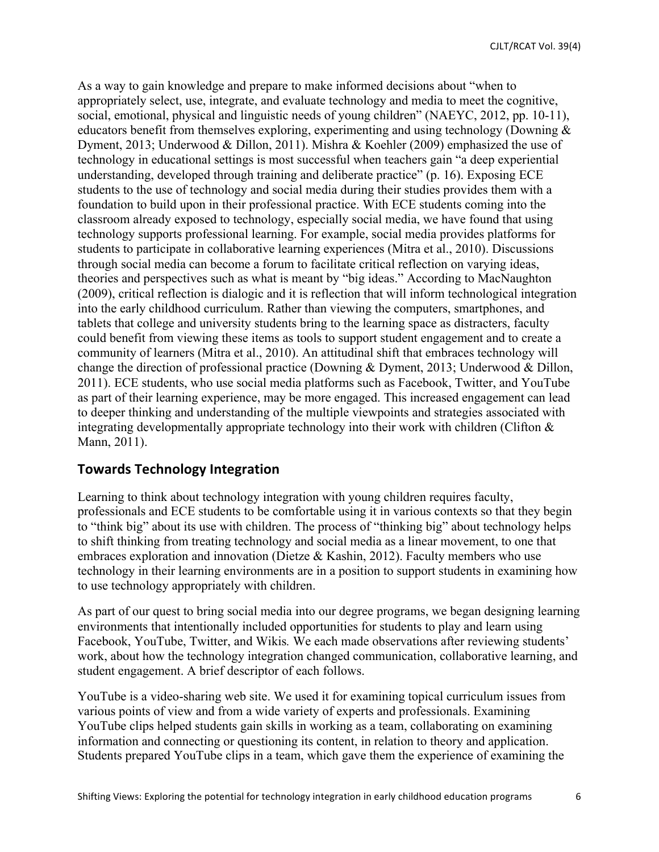As a way to gain knowledge and prepare to make informed decisions about "when to appropriately select, use, integrate, and evaluate technology and media to meet the cognitive, social, emotional, physical and linguistic needs of young children" (NAEYC, 2012, pp. 10-11), educators benefit from themselves exploring, experimenting and using technology (Downing & Dyment, 2013; Underwood & Dillon, 2011). Mishra & Koehler (2009) emphasized the use of technology in educational settings is most successful when teachers gain "a deep experiential understanding, developed through training and deliberate practice" (p. 16). Exposing ECE students to the use of technology and social media during their studies provides them with a foundation to build upon in their professional practice. With ECE students coming into the classroom already exposed to technology, especially social media, we have found that using technology supports professional learning. For example, social media provides platforms for students to participate in collaborative learning experiences (Mitra et al., 2010). Discussions through social media can become a forum to facilitate critical reflection on varying ideas, theories and perspectives such as what is meant by "big ideas." According to MacNaughton (2009), critical reflection is dialogic and it is reflection that will inform technological integration into the early childhood curriculum. Rather than viewing the computers, smartphones, and tablets that college and university students bring to the learning space as distracters, faculty could benefit from viewing these items as tools to support student engagement and to create a community of learners (Mitra et al., 2010). An attitudinal shift that embraces technology will change the direction of professional practice (Downing & Dyment, 2013; Underwood & Dillon, 2011). ECE students, who use social media platforms such as Facebook, Twitter, and YouTube as part of their learning experience, may be more engaged. This increased engagement can lead to deeper thinking and understanding of the multiple viewpoints and strategies associated with integrating developmentally appropriate technology into their work with children (Clifton  $\&$ Mann, 2011).

## **Towards Technology Integration**

Learning to think about technology integration with young children requires faculty, professionals and ECE students to be comfortable using it in various contexts so that they begin to "think big" about its use with children. The process of "thinking big" about technology helps to shift thinking from treating technology and social media as a linear movement, to one that embraces exploration and innovation (Dietze & Kashin, 2012). Faculty members who use technology in their learning environments are in a position to support students in examining how to use technology appropriately with children.

As part of our quest to bring social media into our degree programs, we began designing learning environments that intentionally included opportunities for students to play and learn using Facebook, YouTube, Twitter, and Wikis*.* We each made observations after reviewing students' work, about how the technology integration changed communication, collaborative learning, and student engagement. A brief descriptor of each follows.

YouTube is a video-sharing web site. We used it for examining topical curriculum issues from various points of view and from a wide variety of experts and professionals. Examining YouTube clips helped students gain skills in working as a team, collaborating on examining information and connecting or questioning its content, in relation to theory and application. Students prepared YouTube clips in a team, which gave them the experience of examining the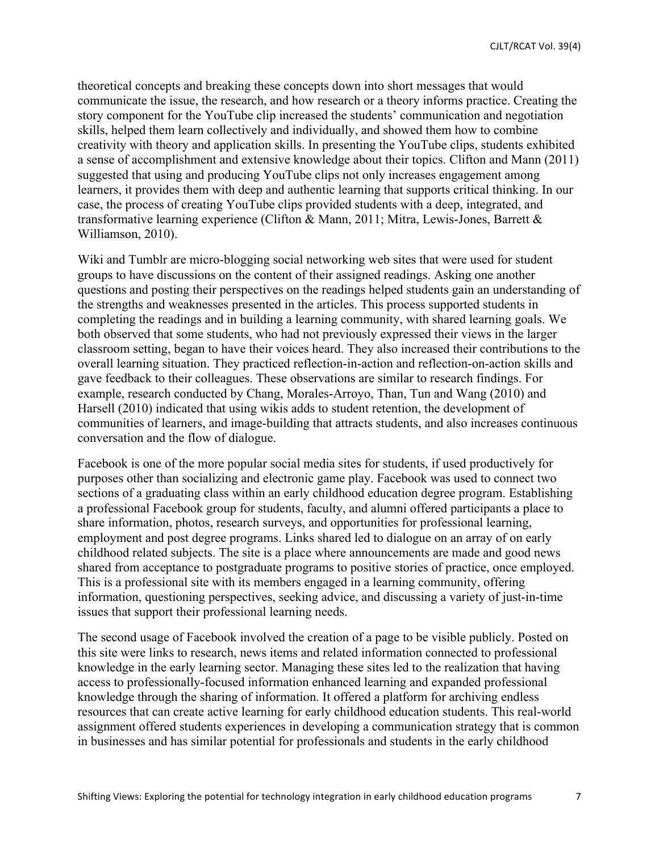theoretical concepts and breaking these concepts down into short messages that would communicate the issue, the research, and how research or a theory informs practice. Creating the story component for the YouTube clip increased the students' communication and negotiation skills, helped them learn collectively and individually, and showed them how to combine creativity with theory and application skills. In presenting the YouTube clips, students exhibited a sense of accomplishment and extensive knowledge about their topics. Clifton and Mann (2011) suggested that using and producing YouTube clips not only increases engagement among learners, it provides them with deep and authentic learning that supports critical thinking. In our case, the process of creating YouTube clips provided students with a deep, integrated, and transformative learning experience (Clifton & Mann, 2011; Mitra, Lewis-Jones, Barrett & Williamson, 2010).

Wiki and Tumblr are micro-blogging social networking web sites that were used for student groups to have discussions on the content of their assigned readings. Asking one another questions and posting their perspectives on the readings helped students gain an understanding of the strengths and weaknesses presented in the articles. This process supported students in completing the readings and in building a learning community, with shared learning goals. We both observed that some students, who had not previously expressed their views in the larger classroom setting, began to have their voices heard. They also increased their contributions to the overall learning situation. They practiced reflection-in-action and reflection-on-action skills and gave feedback to their colleagues. These observations are similar to research findings. For example, research conducted by Chang, Morales-Arroyo, Than, Tun and Wang (2010) and Harsell (2010) indicated that using wikis adds to student retention, the development of communities of learners, and image-building that attracts students, and also increases continuous conversation and the flow of dialogue.

Facebook is one of the more popular social media sites for students, if used productively for purposes other than socializing and electronic game play. Facebook was used to connect two sections of a graduating class within an early childhood education degree program. Establishing a professional Facebook group for students, faculty, and alumni offered participants a place to share information, photos, research surveys, and opportunities for professional learning, employment and post degree programs. Links shared led to dialogue on an array of on early childhood related subjects. The site is a place where announcements are made and good news shared from acceptance to postgraduate programs to positive stories of practice, once employed. This is a professional site with its members engaged in a learning community, offering information, questioning perspectives, seeking advice, and discussing a variety of just-in-time issues that support their professional learning needs.

The second usage of Facebook involved the creation of a page to be visible publicly. Posted on this site were links to research, news items and related information connected to professional knowledge in the early learning sector. Managing these sites led to the realization that having access to professionally-focused information enhanced learning and expanded professional knowledge through the sharing of information. It offered a platform for archiving endless resources that can create active learning for early childhood education students. This real-world assignment offered students experiences in developing a communication strategy that is common in businesses and has similar potential for professionals and students in the early childhood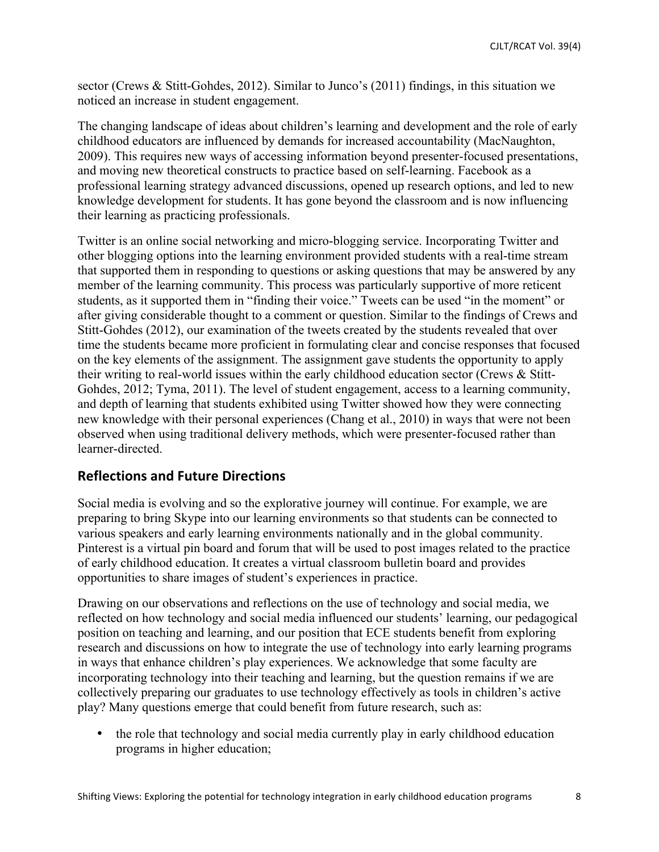sector (Crews & Stitt-Gohdes, 2012). Similar to Junco's (2011) findings, in this situation we noticed an increase in student engagement.

The changing landscape of ideas about children's learning and development and the role of early childhood educators are influenced by demands for increased accountability (MacNaughton, 2009). This requires new ways of accessing information beyond presenter-focused presentations, and moving new theoretical constructs to practice based on self-learning. Facebook as a professional learning strategy advanced discussions, opened up research options, and led to new knowledge development for students. It has gone beyond the classroom and is now influencing their learning as practicing professionals.

Twitter is an online social networking and micro-blogging service. Incorporating Twitter and other blogging options into the learning environment provided students with a real-time stream that supported them in responding to questions or asking questions that may be answered by any member of the learning community. This process was particularly supportive of more reticent students, as it supported them in "finding their voice." Tweets can be used "in the moment" or after giving considerable thought to a comment or question. Similar to the findings of Crews and Stitt-Gohdes (2012), our examination of the tweets created by the students revealed that over time the students became more proficient in formulating clear and concise responses that focused on the key elements of the assignment. The assignment gave students the opportunity to apply their writing to real-world issues within the early childhood education sector (Crews & Stitt-Gohdes, 2012; Tyma, 2011). The level of student engagement, access to a learning community, and depth of learning that students exhibited using Twitter showed how they were connecting new knowledge with their personal experiences (Chang et al., 2010) in ways that were not been observed when using traditional delivery methods, which were presenter-focused rather than learner-directed.

#### **Reflections and Future Directions**

Social media is evolving and so the explorative journey will continue. For example, we are preparing to bring Skype into our learning environments so that students can be connected to various speakers and early learning environments nationally and in the global community. Pinterest is a virtual pin board and forum that will be used to post images related to the practice of early childhood education. It creates a virtual classroom bulletin board and provides opportunities to share images of student's experiences in practice.

Drawing on our observations and reflections on the use of technology and social media, we reflected on how technology and social media influenced our students' learning, our pedagogical position on teaching and learning, and our position that ECE students benefit from exploring research and discussions on how to integrate the use of technology into early learning programs in ways that enhance children's play experiences. We acknowledge that some faculty are incorporating technology into their teaching and learning, but the question remains if we are collectively preparing our graduates to use technology effectively as tools in children's active play? Many questions emerge that could benefit from future research, such as:

• the role that technology and social media currently play in early childhood education programs in higher education;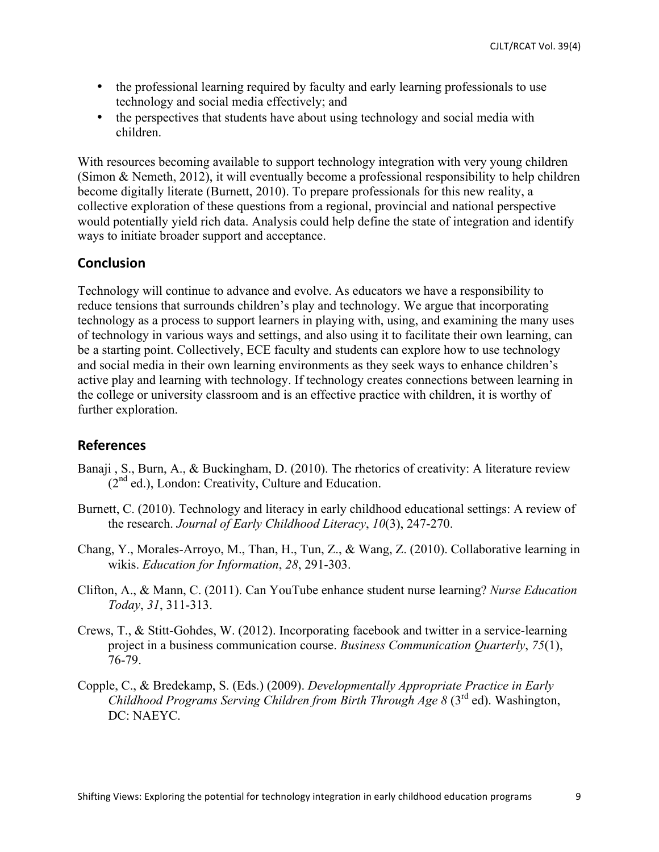- the professional learning required by faculty and early learning professionals to use technology and social media effectively; and
- the perspectives that students have about using technology and social media with children.

With resources becoming available to support technology integration with very young children (Simon & Nemeth, 2012), it will eventually become a professional responsibility to help children become digitally literate (Burnett, 2010). To prepare professionals for this new reality, a collective exploration of these questions from a regional, provincial and national perspective would potentially yield rich data. Analysis could help define the state of integration and identify ways to initiate broader support and acceptance.

## **Conclusion**

Technology will continue to advance and evolve. As educators we have a responsibility to reduce tensions that surrounds children's play and technology. We argue that incorporating technology as a process to support learners in playing with, using, and examining the many uses of technology in various ways and settings, and also using it to facilitate their own learning, can be a starting point. Collectively, ECE faculty and students can explore how to use technology and social media in their own learning environments as they seek ways to enhance children's active play and learning with technology. If technology creates connections between learning in the college or university classroom and is an effective practice with children, it is worthy of further exploration.

#### **References**

- Banaji , S., Burn, A., & Buckingham, D. (2010). The rhetorics of creativity: A literature review  $(2<sup>nd</sup>$  ed.), London: Creativity, Culture and Education.
- Burnett, C. (2010). Technology and literacy in early childhood educational settings: A review of the research. *Journal of Early Childhood Literacy*, *10*(3), 247-270.
- Chang, Y., Morales-Arroyo, M., Than, H., Tun, Z., & Wang, Z. (2010). Collaborative learning in wikis. *Education for Information*, *28*, 291-303.
- Clifton, A., & Mann, C. (2011). Can YouTube enhance student nurse learning? *Nurse Education Today*, *31*, 311-313.
- Crews, T., & Stitt-Gohdes, W. (2012). Incorporating facebook and twitter in a service-learning project in a business communication course. *Business Communication Quarterly*, *75*(1), 76-79.
- Copple, C., & Bredekamp, S. (Eds.) (2009). *Developmentally Appropriate Practice in Early Childhood Programs Serving Children from Birth Through Age 8* (3rd ed). Washington, DC: NAEYC.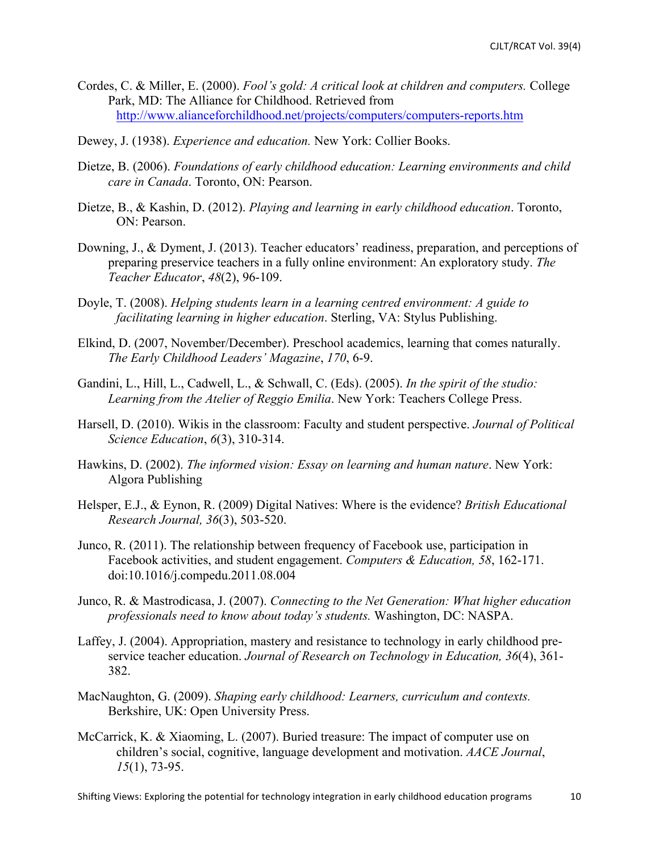- Cordes, C. & Miller, E. (2000). *Fool's gold: A critical look at children and computers.* College Park, MD: The Alliance for Childhood. Retrieved from http://www.alianceforchildhood.net/projects/computers/computers-reports.htm
- Dewey, J. (1938). *Experience and education.* New York: Collier Books.
- Dietze, B. (2006). *Foundations of early childhood education: Learning environments and child care in Canada*. Toronto, ON: Pearson.
- Dietze, B., & Kashin, D. (2012). *Playing and learning in early childhood education*. Toronto, ON: Pearson.
- Downing, J., & Dyment, J. (2013). Teacher educators' readiness, preparation, and perceptions of preparing preservice teachers in a fully online environment: An exploratory study. *The Teacher Educator*, *48*(2), 96-109.
- Doyle, T. (2008). *Helping students learn in a learning centred environment: A guide to facilitating learning in higher education*. Sterling, VA: Stylus Publishing.
- Elkind, D. (2007, November/December). Preschool academics, learning that comes naturally. *The Early Childhood Leaders' Magazine*, *170*, 6-9.
- Gandini, L., Hill, L., Cadwell, L., & Schwall, C. (Eds). (2005). *In the spirit of the studio: Learning from the Atelier of Reggio Emilia*. New York: Teachers College Press.
- Harsell, D. (2010). Wikis in the classroom: Faculty and student perspective. *Journal of Political Science Education*, *6*(3), 310-314.
- Hawkins, D. (2002). *The informed vision: Essay on learning and human nature*. New York: Algora Publishing
- Helsper, E.J., & Eynon, R. (2009) Digital Natives: Where is the evidence? *British Educational Research Journal, 36*(3), 503-520.
- Junco, R. (2011). The relationship between frequency of Facebook use, participation in Facebook activities, and student engagement. *Computers & Education, 58*, 162-171. doi:10.1016/j.compedu.2011.08.004
- Junco, R. & Mastrodicasa, J. (2007). *Connecting to the Net Generation: What higher education professionals need to know about today's students.* Washington, DC: NASPA.
- Laffey, J. (2004). Appropriation, mastery and resistance to technology in early childhood preservice teacher education. *Journal of Research on Technology in Education, 36*(4), 361- 382.
- MacNaughton, G. (2009). *Shaping early childhood: Learners, curriculum and contexts.* Berkshire, UK: Open University Press.
- McCarrick, K. & Xiaoming, L. (2007). Buried treasure: The impact of computer use on children's social, cognitive, language development and motivation. *AACE Journal*, *15*(1), 73-95.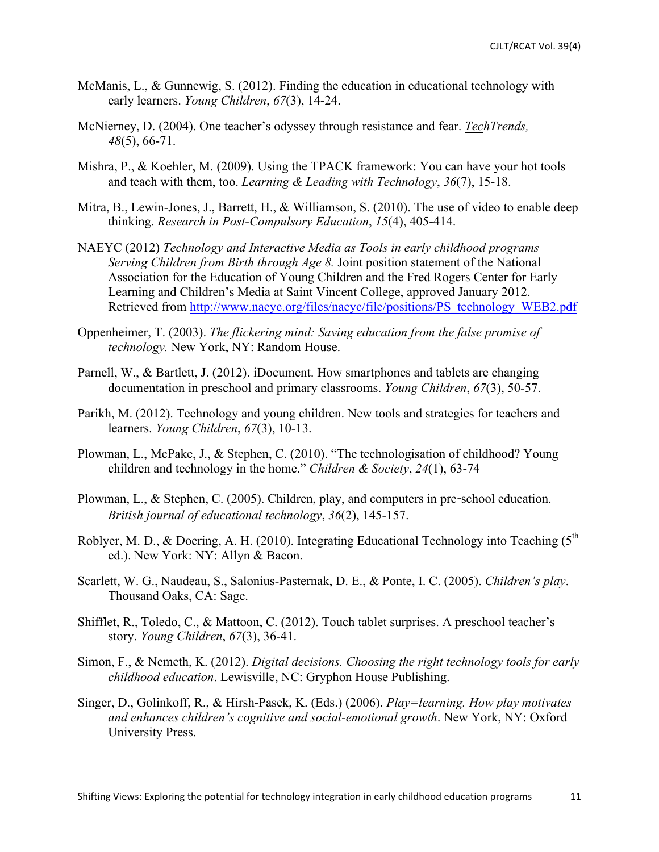- McManis, L., & Gunnewig, S. (2012). Finding the education in educational technology with early learners. *Young Children*, *67*(3), 14-24.
- McNierney, D. (2004). One teacher's odyssey through resistance and fear. *TechTrends, 48*(5), 66-71.
- Mishra, P., & Koehler, M. (2009). Using the TPACK framework: You can have your hot tools and teach with them, too. *Learning & Leading with Technology*, *36*(7), 15-18.
- Mitra, B., Lewin-Jones, J., Barrett, H., & Williamson, S. (2010). The use of video to enable deep thinking. *Research in Post-Compulsory Education*, *15*(4), 405-414.
- NAEYC (2012) *Technology and Interactive Media as Tools in early childhood programs Serving Children from Birth through Age 8.* Joint position statement of the National Association for the Education of Young Children and the Fred Rogers Center for Early Learning and Children's Media at Saint Vincent College, approved January 2012. Retrieved from http://www.naeyc.org/files/naeyc/file/positions/PS\_technology\_WEB2.pdf
- Oppenheimer, T. (2003). *The flickering mind: Saving education from the false promise of technology.* New York, NY: Random House.
- Parnell, W., & Bartlett, J. (2012). iDocument. How smartphones and tablets are changing documentation in preschool and primary classrooms. *Young Children*, *67*(3), 50-57.
- Parikh, M. (2012). Technology and young children. New tools and strategies for teachers and learners. *Young Children*, *67*(3), 10-13.
- Plowman, L., McPake, J., & Stephen, C. (2010). "The technologisation of childhood? Young children and technology in the home." *Children & Society*, *24*(1), 63-74
- Plowman, L., & Stephen, C. (2005). Children, play, and computers in pre-school education. *British journal of educational technology*, *36*(2), 145-157.
- Roblyer, M. D., & Doering, A. H. (2010). Integrating Educational Technology into Teaching  $(5^{th}$ ed.). New York: NY: Allyn & Bacon.
- Scarlett, W. G., Naudeau, S., Salonius-Pasternak, D. E., & Ponte, I. C. (2005). *Children's play*. Thousand Oaks, CA: Sage.
- Shifflet, R., Toledo, C., & Mattoon, C. (2012). Touch tablet surprises. A preschool teacher's story. *Young Children*, *67*(3), 36-41.
- Simon, F., & Nemeth, K. (2012). *Digital decisions. Choosing the right technology tools for early childhood education*. Lewisville, NC: Gryphon House Publishing.
- Singer, D., Golinkoff, R., & Hirsh-Pasek, K. (Eds.) (2006). *Play=learning. How play motivates and enhances children's cognitive and social-emotional growth*. New York, NY: Oxford University Press.